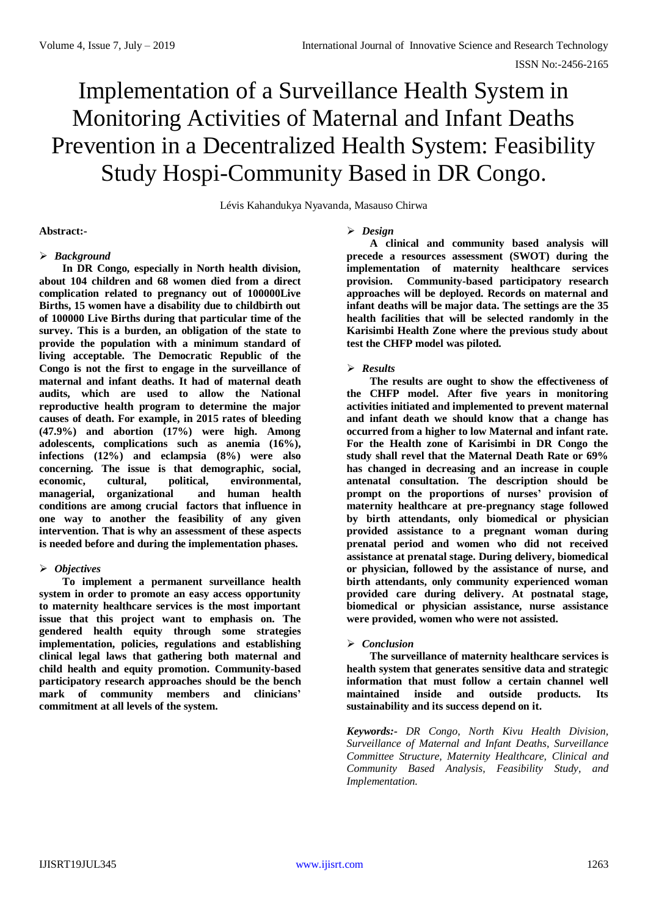# Implementation of a Surveillance Health System in Monitoring Activities of Maternal and Infant Deaths Prevention in a Decentralized Health System: Feasibility Study Hospi-Community Based in DR Congo.

Lévis Kahandukya Nyavanda, Masauso Chirwa

# **Abstract:-**

# *Background*

**In DR Congo, especially in North health division, about 104 children and 68 women died from a direct complication related to pregnancy out of 100000Live Births, 15 women have a disability due to childbirth out of 100000 Live Births during that particular time of the survey. This is a burden, an obligation of the state to provide the population with a minimum standard of living acceptable. The Democratic Republic of the Congo is not the first to engage in the surveillance of maternal and infant deaths. It had of maternal death audits, which are used to allow the National reproductive health program to determine the major causes of death. For example, in 2015 rates of bleeding (47.9%) and abortion (17%) were high. Among adolescents, complications such as anemia (16%), infections (12%) and eclampsia (8%) were also concerning. The issue is that demographic, social, economic, cultural, political, environmental, managerial, organizational and human health conditions are among crucial factors that influence in one way to another the feasibility of any given intervention. That is why an assessment of these aspects is needed before and during the implementation phases.** 

# *Objectives*

**To implement a permanent surveillance health system in order to promote an easy access opportunity to maternity healthcare services is the most important issue that this project want to emphasis on. The gendered health equity through some strategies implementation, policies, regulations and establishing clinical legal laws that gathering both maternal and child health and equity promotion. Community-based participatory research approaches should be the bench mark of community members and clinicians' commitment at all levels of the system.** 

# *Design*

**A clinical and community based analysis will precede a resources assessment (SWOT) during the implementation of maternity healthcare services provision. Community-based participatory research approaches will be deployed. Records on maternal and infant deaths will be major data. The settings are the 35 health facilities that will be selected randomly in the Karisimbi Health Zone where the previous study about test the CHFP model was piloted.**

# *Results*

**The results are ought to show the effectiveness of the CHFP model. After five years in monitoring activities initiated and implemented to prevent maternal and infant death we should know that a change has occurred from a higher to low Maternal and infant rate. For the Health zone of Karisimbi in DR Congo the study shall revel that the Maternal Death Rate or 69% has changed in decreasing and an increase in couple antenatal consultation. The description should be prompt on the proportions of nurses' provision of maternity healthcare at pre-pregnancy stage followed by birth attendants, only biomedical or physician provided assistance to a pregnant woman during prenatal period and women who did not received assistance at prenatal stage. During delivery, biomedical or physician, followed by the assistance of nurse, and birth attendants, only community experienced woman provided care during delivery. At postnatal stage, biomedical or physician assistance, nurse assistance were provided, women who were not assisted.** 

# *Conclusion*

**The surveillance of maternity healthcare services is health system that generates sensitive data and strategic information that must follow a certain channel well maintained inside and outside products. Its sustainability and its success depend on it.**

*Keywords:- DR Congo, North Kivu Health Division, Surveillance of Maternal and Infant Deaths, Surveillance Committee Structure, Maternity Healthcare, Clinical and Community Based Analysis, Feasibility Study, and Implementation.*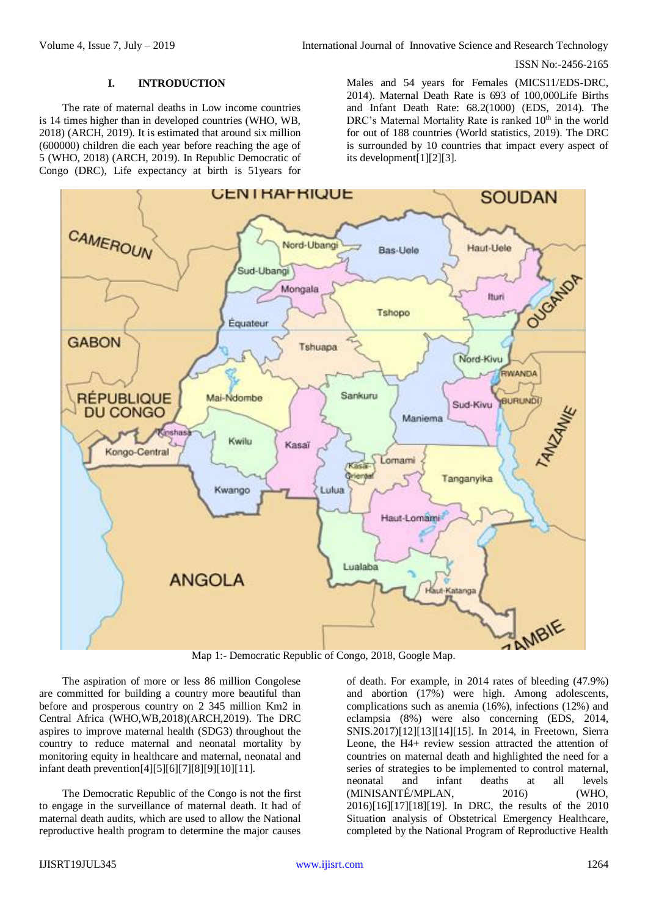#### **I. INTRODUCTION**

The rate of maternal deaths in Low income countries is 14 times higher than in developed countries (WHO, WB, 2018) (ARCH, 2019). It is estimated that around six million (600000) children die each year before reaching the age of 5 (WHO, 2018) (ARCH, 2019). In Republic Democratic of Congo (DRC), Life expectancy at birth is 51years for

Males and 54 years for Females (MICS11/EDS-DRC, 2014). Maternal Death Rate is 693 of 100,000Life Births and Infant Death Rate: 68.2(1000) (EDS, 2014). The DRC's Maternal Mortality Rate is ranked 10<sup>th</sup> in the world for out of 188 countries (World statistics, 2019). The DRC is surrounded by 10 countries that impact every aspect of its development[1][2][3].



Map 1:- Democratic Republic of Congo, 2018, Google Map.

The aspiration of more or less 86 million Congolese are committed for building a country more beautiful than before and prosperous country on 2 345 million Km2 in Central Africa (WHO,WB,2018)(ARCH,2019). The DRC aspires to improve maternal health (SDG3) throughout the country to reduce maternal and neonatal mortality by monitoring equity in healthcare and maternal, neonatal and infant death prevention[4][5][6][7][8][9][10][11].

The Democratic Republic of the Congo is not the first to engage in the surveillance of maternal death. It had of maternal death audits, which are used to allow the National reproductive health program to determine the major causes

of death. For example, in 2014 rates of bleeding (47.9%) and abortion (17%) were high. Among adolescents, complications such as anemia (16%), infections (12%) and eclampsia (8%) were also concerning (EDS, 2014, SNIS.2017)[12][13][14][15]. In 2014, in Freetown, Sierra Leone, the H4+ review session attracted the attention of countries on maternal death and highlighted the need for a series of strategies to be implemented to control maternal, neonatal and infant deaths at all levels (MINISANTÉ/MPLAN, 2016) (WHO, 2016)[16][17][18][19]. In DRC, the results of the 2010 Situation analysis of Obstetrical Emergency Healthcare, completed by the National Program of Reproductive Health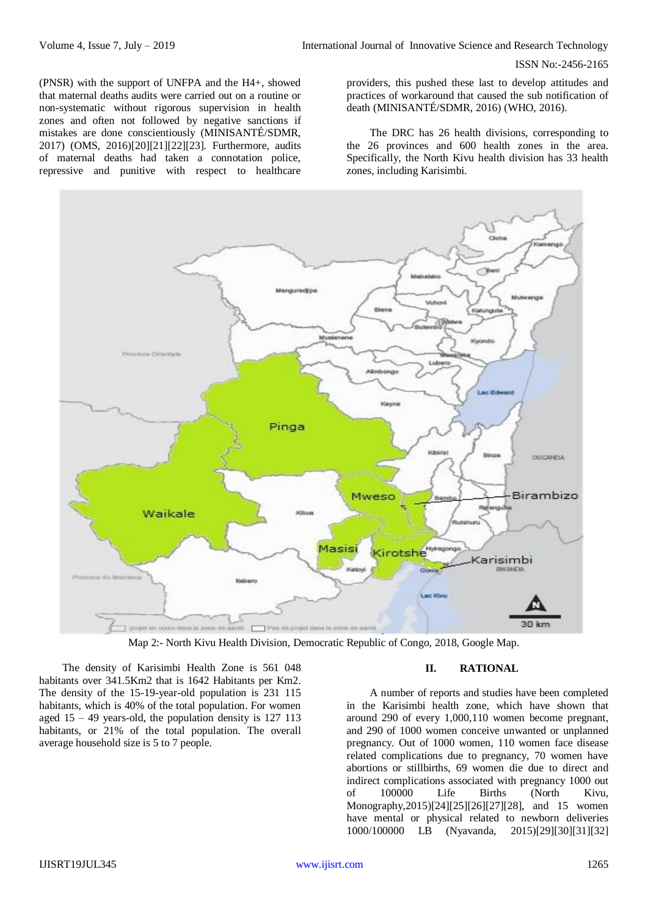(PNSR) with the support of UNFPA and the H4+, showed that maternal deaths audits were carried out on a routine or non-systematic without rigorous supervision in health zones and often not followed by negative sanctions if mistakes are done conscientiously (MINISANTÉ/SDMR, 2017) (OMS, 2016)[20][21][22][23]. Furthermore, audits of maternal deaths had taken a connotation police, repressive and punitive with respect to healthcare

providers, this pushed these last to develop attitudes and practices of workaround that caused the sub notification of death (MINISANTÉ/SDMR, 2016) (WHO, 2016).

The DRC has 26 health divisions, corresponding to the 26 provinces and 600 health zones in the area. Specifically, the North Kivu health division has 33 health zones, including Karisimbi.



Map 2:- North Kivu Health Division, Democratic Republic of Congo, 2018, Google Map.

The density of Karisimbi Health Zone is 561 048 habitants over 341.5Km2 that is 1642 Habitants per Km2. The density of the 15-19-year-old population is 231 115 habitants, which is 40% of the total population. For women aged  $15 - 49$  years-old, the population density is  $127$  113 habitants, or 21% of the total population. The overall average household size is 5 to 7 people.

#### **II. RATIONAL**

A number of reports and studies have been completed in the Karisimbi health zone, which have shown that around 290 of every 1,000,110 women become pregnant, and 290 of 1000 women conceive unwanted or unplanned pregnancy. Out of 1000 women, 110 women face disease related complications due to pregnancy, 70 women have abortions or stillbirths, 69 women die due to direct and indirect complications associated with pregnancy 1000 out of 100000 Life Births (North Kivu, Monography,2015)[24][25][26][27][28], and 15 women have mental or physical related to newborn deliveries 1000/100000 LB (Nyavanda, 2015)[29][30][31][32]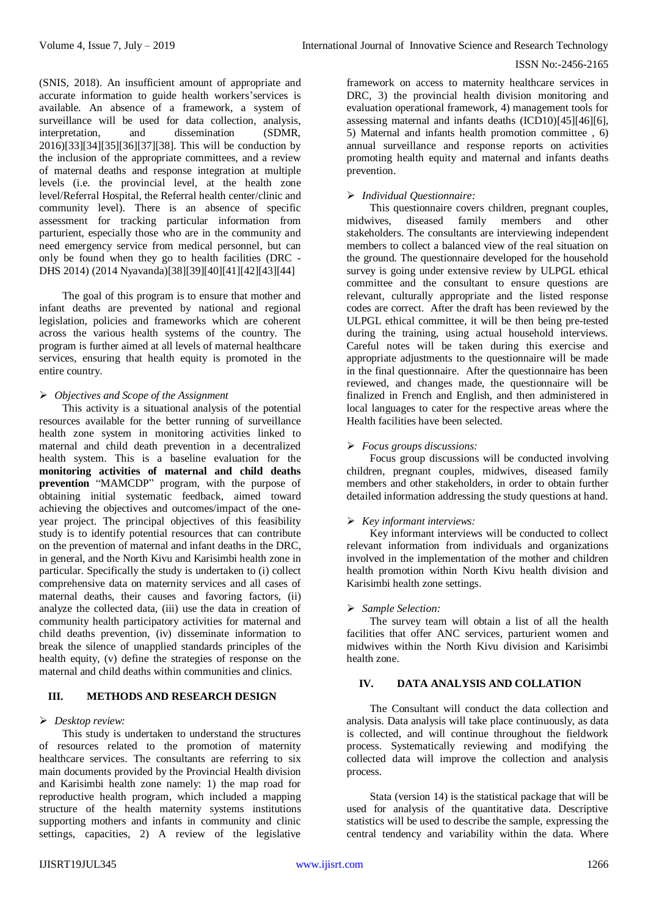(SNIS, 2018). An insufficient amount of appropriate and accurate information to guide health workers'services is available. An absence of a framework, a system of surveillance will be used for data collection, analysis, interpretation, and dissemination (SDMR, 2016)[33][34][35][36][37][38]. This will be conduction by the inclusion of the appropriate committees, and a review of maternal deaths and response integration at multiple levels (i.e. the provincial level, at the health zone level/Referral Hospital, the Referral health center/clinic and community level). There is an absence of specific assessment for tracking particular information from parturient, especially those who are in the community and need emergency service from medical personnel, but can only be found when they go to health facilities (DRC - DHS 2014) (2014 Nyavanda)[38][39][40][41][42][43][44]

The goal of this program is to ensure that mother and infant deaths are prevented by national and regional legislation, policies and frameworks which are coherent across the various health systems of the country. The program is further aimed at all levels of maternal healthcare services, ensuring that health equity is promoted in the entire country.

# *Objectives and Scope of the Assignment*

This activity is a situational analysis of the potential resources available for the better running of surveillance health zone system in monitoring activities linked to maternal and child death prevention in a decentralized health system. This is a baseline evaluation for the **monitoring activities of maternal and child deaths prevention** "MAMCDP" program, with the purpose of obtaining initial systematic feedback, aimed toward achieving the objectives and outcomes/impact of the oneyear project. The principal objectives of this feasibility study is to identify potential resources that can contribute on the prevention of maternal and infant deaths in the DRC, in general, and the North Kivu and Karisimbi health zone in particular. Specifically the study is undertaken to (i) collect comprehensive data on maternity services and all cases of maternal deaths, their causes and favoring factors, (ii) analyze the collected data, (iii) use the data in creation of community health participatory activities for maternal and child deaths prevention, (iv) disseminate information to break the silence of unapplied standards principles of the health equity, (v) define the strategies of response on the maternal and child deaths within communities and clinics.

# **III. METHODS AND RESEARCH DESIGN**

# *Desktop review:*

This study is undertaken to understand the structures of resources related to the promotion of maternity healthcare services. The consultants are referring to six main documents provided by the Provincial Health division and Karisimbi health zone namely: 1) the map road for reproductive health program, which included a mapping structure of the health maternity systems institutions supporting mothers and infants in community and clinic settings, capacities, 2) A review of the legislative

framework on access to maternity healthcare services in DRC, 3) the provincial health division monitoring and evaluation operational framework, 4) management tools for assessing maternal and infants deaths  $(ICD10)[45][46][6]$ , 5) Maternal and infants health promotion committee , 6) annual surveillance and response reports on activities promoting health equity and maternal and infants deaths prevention.

# *Individual Questionnaire:*

This questionnaire covers children, pregnant couples, midwives, diseased family members and other stakeholders. The consultants are interviewing independent members to collect a balanced view of the real situation on the ground. The questionnaire developed for the household survey is going under extensive review by ULPGL ethical committee and the consultant to ensure questions are relevant, culturally appropriate and the listed response codes are correct. After the draft has been reviewed by the ULPGL ethical committee, it will be then being pre-tested during the training, using actual household interviews. Careful notes will be taken during this exercise and appropriate adjustments to the questionnaire will be made in the final questionnaire. After the questionnaire has been reviewed, and changes made, the questionnaire will be finalized in French and English, and then administered in local languages to cater for the respective areas where the Health facilities have been selected.

# *Focus groups discussions:*

Focus group discussions will be conducted involving children, pregnant couples, midwives, diseased family members and other stakeholders, in order to obtain further detailed information addressing the study questions at hand.

# *Key informant interviews:*

Key informant interviews will be conducted to collect relevant information from individuals and organizations involved in the implementation of the mother and children health promotion within North Kivu health division and Karisimbi health zone settings.

# *Sample Selection:*

The survey team will obtain a list of all the health facilities that offer ANC services, parturient women and midwives within the North Kivu division and Karisimbi health zone.

# **IV. DATA ANALYSIS AND COLLATION**

The Consultant will conduct the data collection and analysis. Data analysis will take place continuously, as data is collected, and will continue throughout the fieldwork process. Systematically reviewing and modifying the collected data will improve the collection and analysis process.

Stata (version 14) is the statistical package that will be used for analysis of the quantitative data. Descriptive statistics will be used to describe the sample, expressing the central tendency and variability within the data. Where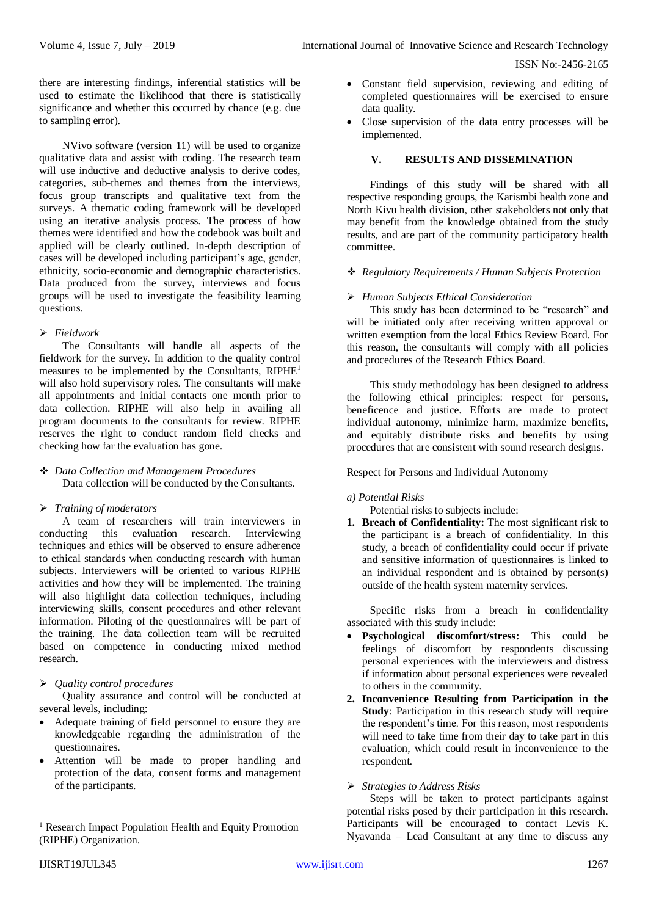there are interesting findings, inferential statistics will be used to estimate the likelihood that there is statistically significance and whether this occurred by chance (e.g. due to sampling error).

NVivo software (version 11) will be used to organize qualitative data and assist with coding. The research team will use inductive and deductive analysis to derive codes, categories, sub-themes and themes from the interviews, focus group transcripts and qualitative text from the surveys. A thematic coding framework will be developed using an iterative analysis process. The process of how themes were identified and how the codebook was built and applied will be clearly outlined. In-depth description of cases will be developed including participant's age, gender, ethnicity, socio-economic and demographic characteristics. Data produced from the survey, interviews and focus groups will be used to investigate the feasibility learning questions.

# *Fieldwork*

The Consultants will handle all aspects of the fieldwork for the survey. In addition to the quality control measures to be implemented by the Consultants, RIPHE<sup>1</sup> will also hold supervisory roles. The consultants will make all appointments and initial contacts one month prior to data collection. RIPHE will also help in availing all program documents to the consultants for review. RIPHE reserves the right to conduct random field checks and checking how far the evaluation has gone.

 *Data Collection and Management Procedures* Data collection will be conducted by the Consultants.

# *Training of moderators*

A team of researchers will train interviewers in conducting this evaluation research. Interviewing techniques and ethics will be observed to ensure adherence to ethical standards when conducting research with human subjects. Interviewers will be oriented to various RIPHE activities and how they will be implemented. The training will also highlight data collection techniques, including interviewing skills, consent procedures and other relevant information. Piloting of the questionnaires will be part of the training. The data collection team will be recruited based on competence in conducting mixed method research.

# *Quality control procedures*

Quality assurance and control will be conducted at several levels, including:

- Adequate training of field personnel to ensure they are knowledgeable regarding the administration of the questionnaires.
- Attention will be made to proper handling and protection of the data, consent forms and management of the participants.
- Constant field supervision, reviewing and editing of completed questionnaires will be exercised to ensure data quality.
- Close supervision of the data entry processes will be implemented.

# **V. RESULTS AND DISSEMINATION**

Findings of this study will be shared with all respective responding groups, the Karismbi health zone and North Kivu health division, other stakeholders not only that may benefit from the knowledge obtained from the study results, and are part of the community participatory health committee.

#### *Regulatory Requirements / Human Subjects Protection*

# *Human Subjects Ethical Consideration*

This study has been determined to be "research" and will be initiated only after receiving written approval or written exemption from the local Ethics Review Board. For this reason, the consultants will comply with all policies and procedures of the Research Ethics Board.

This study methodology has been designed to address the following ethical principles: respect for persons, beneficence and justice. Efforts are made to protect individual autonomy, minimize harm, maximize benefits, and equitably distribute risks and benefits by using procedures that are consistent with sound research designs.

Respect for Persons and Individual Autonomy

# *a) Potential Risks*

Potential risks to subjects include:

**1. Breach of Confidentiality:** The most significant risk to the participant is a breach of confidentiality. In this study, a breach of confidentiality could occur if private and sensitive information of questionnaires is linked to an individual respondent and is obtained by person(s) outside of the health system maternity services.

Specific risks from a breach in confidentiality associated with this study include:

- **Psychological discomfort/stress:** This could be feelings of discomfort by respondents discussing personal experiences with the interviewers and distress if information about personal experiences were revealed to others in the community.
- **2. Inconvenience Resulting from Participation in the Study**: Participation in this research study will require the respondent's time. For this reason, most respondents will need to take time from their day to take part in this evaluation, which could result in inconvenience to the respondent*.*

# *Strategies to Address Risks*

Steps will be taken to protect participants against potential risks posed by their participation in this research. Participants will be encouraged to contact Levis K. Nyavanda – Lead Consultant at any time to discuss any

 $\overline{a}$ 

<sup>&</sup>lt;sup>1</sup> Research Impact Population Health and Equity Promotion (RIPHE) Organization.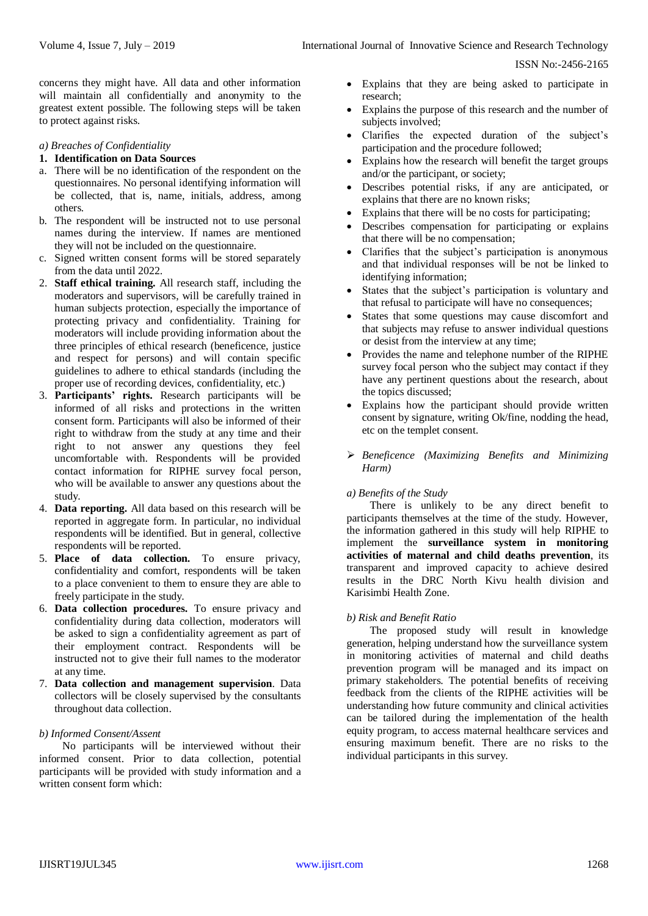concerns they might have. All data and other information will maintain all confidentially and anonymity to the greatest extent possible. The following steps will be taken to protect against risks.

#### *a) Breaches of Confidentiality*

#### **1. Identification on Data Sources**

- a. There will be no identification of the respondent on the questionnaires. No personal identifying information will be collected, that is, name, initials, address, among others.
- b. The respondent will be instructed not to use personal names during the interview. If names are mentioned they will not be included on the questionnaire.
- c. Signed written consent forms will be stored separately from the data until 2022.
- 2. **Staff ethical training.** All research staff, including the moderators and supervisors, will be carefully trained in human subjects protection, especially the importance of protecting privacy and confidentiality. Training for moderators will include providing information about the three principles of ethical research (beneficence, justice and respect for persons) and will contain specific guidelines to adhere to ethical standards (including the proper use of recording devices, confidentiality, etc.)
- 3. **Participants' rights.** Research participants will be informed of all risks and protections in the written consent form. Participants will also be informed of their right to withdraw from the study at any time and their right to not answer any questions they feel uncomfortable with. Respondents will be provided contact information for RIPHE survey focal person, who will be available to answer any questions about the study.
- 4. **Data reporting.** All data based on this research will be reported in aggregate form. In particular, no individual respondents will be identified. But in general, collective respondents will be reported.
- 5. **Place of data collection.** To ensure privacy, confidentiality and comfort, respondents will be taken to a place convenient to them to ensure they are able to freely participate in the study.
- 6. **Data collection procedures.** To ensure privacy and confidentiality during data collection, moderators will be asked to sign a confidentiality agreement as part of their employment contract. Respondents will be instructed not to give their full names to the moderator at any time.
- 7. **Data collection and management supervision**. Data collectors will be closely supervised by the consultants throughout data collection.

### *b) Informed Consent/Assent*

No participants will be interviewed without their informed consent. Prior to data collection, potential participants will be provided with study information and a written consent form which:

- Explains that they are being asked to participate in research;
- Explains the purpose of this research and the number of subjects involved;
- Clarifies the expected duration of the subject's participation and the procedure followed;
- Explains how the research will benefit the target groups and/or the participant, or society;
- Describes potential risks, if any are anticipated, or explains that there are no known risks;
- Explains that there will be no costs for participating;
- Describes compensation for participating or explains that there will be no compensation;
- Clarifies that the subject's participation is anonymous and that individual responses will be not be linked to identifying information;
- States that the subject's participation is voluntary and that refusal to participate will have no consequences;
- States that some questions may cause discomfort and that subjects may refuse to answer individual questions or desist from the interview at any time;
- Provides the name and telephone number of the RIPHE survey focal person who the subject may contact if they have any pertinent questions about the research, about the topics discussed;
- Explains how the participant should provide written consent by signature, writing Ok/fine, nodding the head, etc on the templet consent.
- *Beneficence (Maximizing Benefits and Minimizing Harm)*

#### *a) Benefits of the Study*

There is unlikely to be any direct benefit to participants themselves at the time of the study. However, the information gathered in this study will help RIPHE to implement the **surveillance system in monitoring activities of maternal and child deaths prevention**, its transparent and improved capacity to achieve desired results in the DRC North Kivu health division and Karisimbi Health Zone.

#### *b) Risk and Benefit Ratio*

The proposed study will result in knowledge generation, helping understand how the surveillance system in monitoring activities of maternal and child deaths prevention program will be managed and its impact on primary stakeholders. The potential benefits of receiving feedback from the clients of the RIPHE activities will be understanding how future community and clinical activities can be tailored during the implementation of the health equity program, to access maternal healthcare services and ensuring maximum benefit. There are no risks to the individual participants in this survey.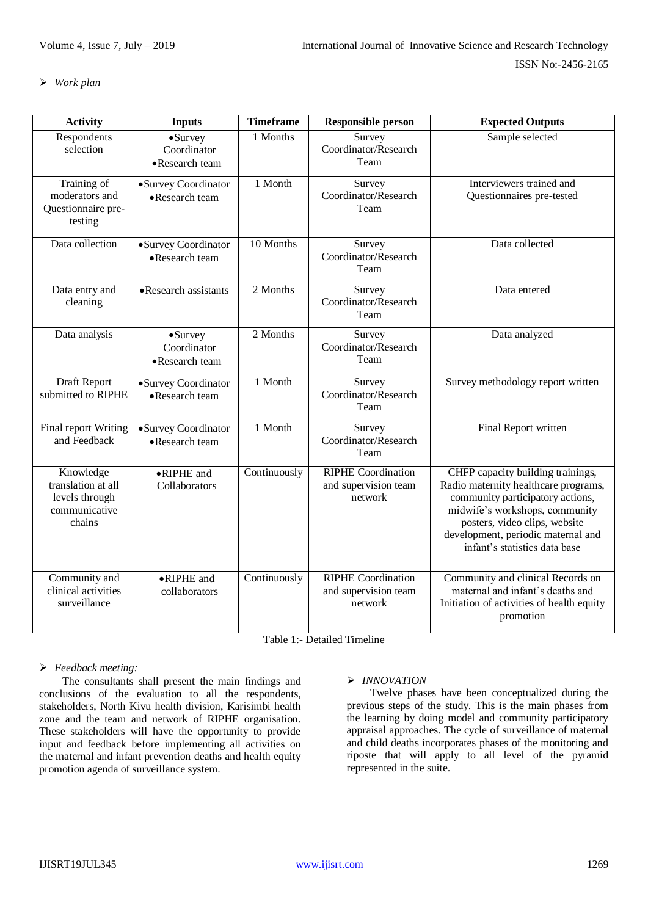# *Work plan*

| <b>Activity</b>                                                              | <b>Inputs</b>                                     | <b>Timeframe</b> | <b>Responsible person</b>                                    | <b>Expected Outputs</b>                                                                                                                                                                                                                                 |
|------------------------------------------------------------------------------|---------------------------------------------------|------------------|--------------------------------------------------------------|---------------------------------------------------------------------------------------------------------------------------------------------------------------------------------------------------------------------------------------------------------|
| Respondents<br>selection                                                     | $\bullet$ Survey<br>Coordinator<br>•Research team | 1 Months         | Survey<br>Coordinator/Research<br>Team                       | Sample selected                                                                                                                                                                                                                                         |
| Training of<br>moderators and<br>Questionnaire pre-<br>testing               | •Survey Coordinator<br>•Research team             | 1 Month          | Survey<br>Coordinator/Research<br>Team                       | Interviewers trained and<br>Questionnaires pre-tested                                                                                                                                                                                                   |
| Data collection                                                              | •Survey Coordinator<br>•Research team             | $10$ Months      | Survey<br>Coordinator/Research<br>Team                       | Data collected                                                                                                                                                                                                                                          |
| Data entry and<br>cleaning                                                   | •Research assistants                              | 2 Months         | Survey<br>Coordinator/Research<br>Team                       | Data entered                                                                                                                                                                                                                                            |
| Data analysis                                                                | $\bullet$ Survey<br>Coordinator<br>•Research team | 2 Months         | Survey<br>Coordinator/Research<br>Team                       | Data analyzed                                                                                                                                                                                                                                           |
| Draft Report<br>submitted to RIPHE                                           | •Survey Coordinator<br>•Research team             | 1 Month          | Survey<br>Coordinator/Research<br>Team                       | Survey methodology report written                                                                                                                                                                                                                       |
| Final report Writing<br>and Feedback                                         | •Survey Coordinator<br>•Research team             | 1 Month          | Survey<br>Coordinator/Research<br>Team                       | Final Report written                                                                                                                                                                                                                                    |
| Knowledge<br>translation at all<br>levels through<br>communicative<br>chains | •RIPHE and<br>Collaborators                       | Continuously     | <b>RIPHE Coordination</b><br>and supervision team<br>network | CHFP capacity building trainings,<br>Radio maternity healthcare programs,<br>community participatory actions,<br>midwife's workshops, community<br>posters, video clips, website<br>development, periodic maternal and<br>infant's statistics data base |
| Community and<br>clinical activities<br>surveillance                         | •RIPHE and<br>collaborators                       | Continuously     | <b>RIPHE Coordination</b><br>and supervision team<br>network | Community and clinical Records on<br>maternal and infant's deaths and<br>Initiation of activities of health equity<br>promotion                                                                                                                         |

Table 1:- Detailed Timeline

# *Feedback meeting:*

The consultants shall present the main findings and conclusions of the evaluation to all the respondents, stakeholders, North Kivu health division, Karisimbi health zone and the team and network of RIPHE organisation. These stakeholders will have the opportunity to provide input and feedback before implementing all activities on the maternal and infant prevention deaths and health equity promotion agenda of surveillance system.

# *INNOVATION*

Twelve phases have been conceptualized during the previous steps of the study. This is the main phases from the learning by doing model and community participatory appraisal approaches. The cycle of surveillance of maternal and child deaths incorporates phases of the monitoring and riposte that will apply to all level of the pyramid represented in the suite.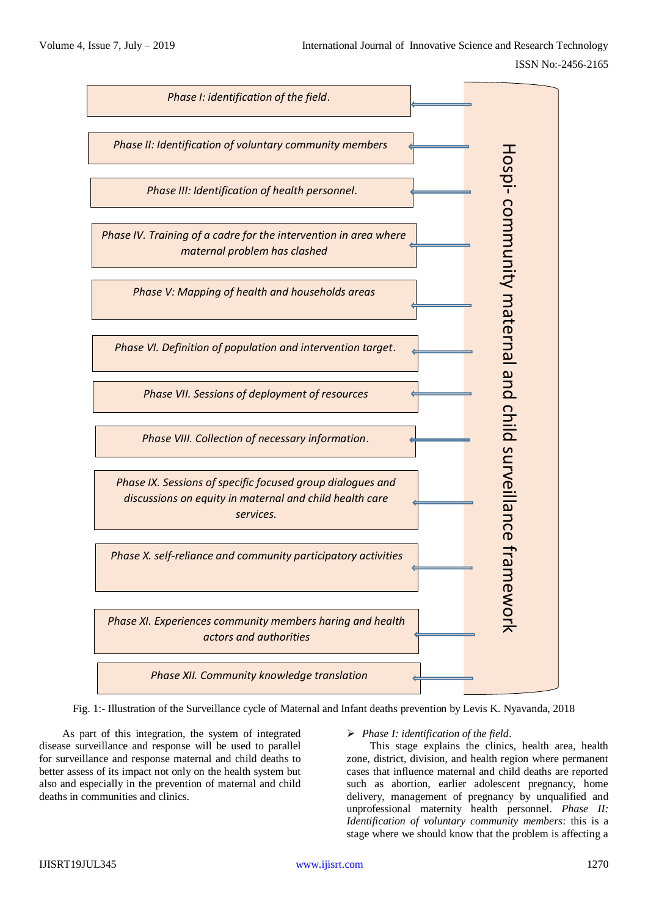

Fig. 1:- Illustration of the Surveillance cycle of Maternal and Infant deaths prevention by Levis K. Nyavanda, 2018

As part of this integration, the system of integrated disease surveillance and response will be used to parallel for surveillance and response maternal and child deaths to better assess of its impact not only on the health system but also and especially in the prevention of maternal and child deaths in communities and clinics.

# *Phase I: identification of the field*.

This stage explains the clinics, health area, health zone, district, division, and health region where permanent cases that influence maternal and child deaths are reported such as abortion, earlier adolescent pregnancy, home delivery, management of pregnancy by unqualified and unprofessional maternity health personnel. *Phase II: Identification of voluntary community members*: this is a stage where we should know that the problem is affecting a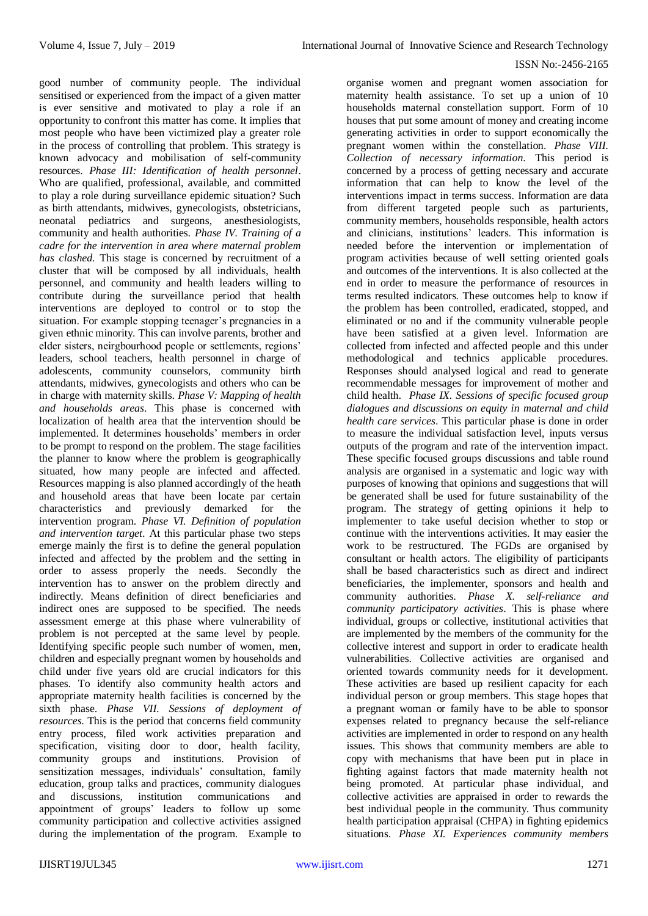good number of community people. The individual sensitised or experienced from the impact of a given matter is ever sensitive and motivated to play a role if an opportunity to confront this matter has come. It implies that most people who have been victimized play a greater role in the process of controlling that problem. This strategy is known advocacy and mobilisation of self-community resources. *Phase III: Identification of health personnel*. Who are qualified, professional, available, and committed to play a role during surveillance epidemic situation? Such as birth attendants, midwives, gynecologists, obstetricians, neonatal pediatrics and surgeons, anesthesiologists, community and health authorities. *Phase IV. Training of a cadre for the intervention in area where maternal problem has clashed*. This stage is concerned by recruitment of a cluster that will be composed by all individuals, health personnel, and community and health leaders willing to contribute during the surveillance period that health interventions are deployed to control or to stop the situation. For example stopping teenager's pregnancies in a given ethnic minority. This can involve parents, brother and elder sisters, neirgbourhood people or settlements, regions' leaders, school teachers, health personnel in charge of adolescents, community counselors, community birth attendants, midwives, gynecologists and others who can be in charge with maternity skills. *Phase V: Mapping of health and households areas*. This phase is concerned with localization of health area that the intervention should be implemented. It determines households' members in order to be prompt to respond on the problem. The stage facilities the planner to know where the problem is geographically situated, how many people are infected and affected. Resources mapping is also planned accordingly of the heath and household areas that have been locate par certain characteristics and previously demarked for the intervention program. *Phase VI. Definition of population and intervention target*. At this particular phase two steps emerge mainly the first is to define the general population infected and affected by the problem and the setting in order to assess properly the needs. Secondly the intervention has to answer on the problem directly and indirectly. Means definition of direct beneficiaries and indirect ones are supposed to be specified. The needs assessment emerge at this phase where vulnerability of problem is not percepted at the same level by people. Identifying specific people such number of women, men, children and especially pregnant women by households and child under five years old are crucial indicators for this phases. To identify also community health actors and appropriate maternity health facilities is concerned by the sixth phase. *Phase VII. Sessions of deployment of resources*. This is the period that concerns field community entry process, filed work activities preparation and specification, visiting door to door, health facility, community groups and institutions. Provision of sensitization messages, individuals' consultation, family education, group talks and practices, community dialogues and discussions, institution communications and appointment of groups' leaders to follow up some community participation and collective activities assigned during the implementation of the program. Example to

organise women and pregnant women association for maternity health assistance. To set up a union of 10 households maternal constellation support. Form of 10 houses that put some amount of money and creating income generating activities in order to support economically the pregnant women within the constellation. *Phase VIII. Collection of necessary information*. This period is concerned by a process of getting necessary and accurate information that can help to know the level of the interventions impact in terms success. Information are data from different targeted people such as parturients, community members, households responsible, health actors and clinicians, institutions' leaders. This information is needed before the intervention or implementation of program activities because of well setting oriented goals and outcomes of the interventions. It is also collected at the end in order to measure the performance of resources in terms resulted indicators. These outcomes help to know if the problem has been controlled, eradicated, stopped, and eliminated or no and if the community vulnerable people have been satisfied at a given level. Information are collected from infected and affected people and this under methodological and technics applicable procedures. Responses should analysed logical and read to generate recommendable messages for improvement of mother and child health*. Phase IX. Sessions of specific focused group dialogues and discussions on equity in maternal and child health care services*. This particular phase is done in order to measure the individual satisfaction level, inputs versus outputs of the program and rate of the intervention impact. These specific focused groups discussions and table round analysis are organised in a systematic and logic way with purposes of knowing that opinions and suggestions that will be generated shall be used for future sustainability of the program. The strategy of getting opinions it help to implementer to take useful decision whether to stop or continue with the interventions activities. It may easier the work to be restructured. The FGDs are organised by consultant or health actors. The eligibility of participants shall be based characteristics such as direct and indirect beneficiaries, the implementer, sponsors and health and community authorities. *Phase X. self-reliance and community participatory activities*. This is phase where individual, groups or collective, institutional activities that are implemented by the members of the community for the collective interest and support in order to eradicate health vulnerabilities. Collective activities are organised and oriented towards community needs for it development. These activities are based up resilient capacity for each individual person or group members. This stage hopes that a pregnant woman or family have to be able to sponsor expenses related to pregnancy because the self-reliance activities are implemented in order to respond on any health issues. This shows that community members are able to copy with mechanisms that have been put in place in fighting against factors that made maternity health not being promoted. At particular phase individual, and collective activities are appraised in order to rewards the best individual people in the community. Thus community health participation appraisal (CHPA) in fighting epidemics situations. *Phase XI. Experiences community members*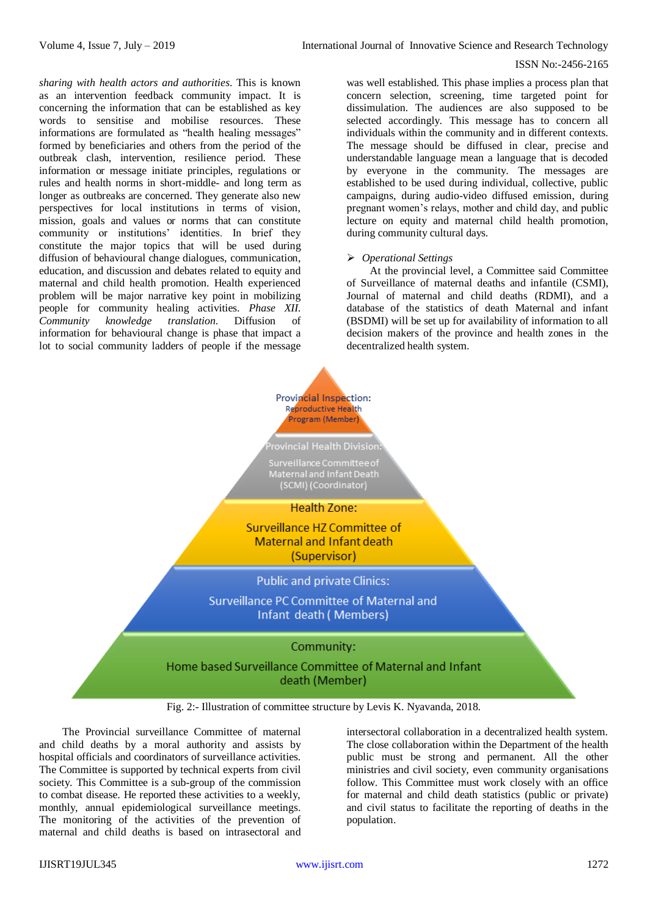*sharing with health actors and authorities*. This is known as an intervention feedback community impact. It is concerning the information that can be established as key words to sensitise and mobilise resources. These informations are formulated as "health healing messages" formed by beneficiaries and others from the period of the outbreak clash, intervention, resilience period. These information or message initiate principles, regulations or rules and health norms in short-middle- and long term as longer as outbreaks are concerned. They generate also new perspectives for local institutions in terms of vision, mission, goals and values or norms that can constitute community or institutions' identities. In brief they constitute the major topics that will be used during diffusion of behavioural change dialogues, communication, education, and discussion and debates related to equity and maternal and child health promotion. Health experienced problem will be major narrative key point in mobilizing people for community healing activities. *Phase XII. Community knowledge translation*. Diffusion of information for behavioural change is phase that impact a lot to social community ladders of people if the message

was well established. This phase implies a process plan that concern selection, screening, time targeted point for dissimulation. The audiences are also supposed to be selected accordingly. This message has to concern all individuals within the community and in different contexts. The message should be diffused in clear, precise and understandable language mean a language that is decoded by everyone in the community. The messages are established to be used during individual, collective, public campaigns, during audio-video diffused emission, during pregnant women's relays, mother and child day, and public lecture on equity and maternal child health promotion, during community cultural days.

## *Operational Settings*

At the provincial level, a Committee said Committee of Surveillance of maternal deaths and infantile (CSMI), Journal of maternal and child deaths (RDMI), and a database of the statistics of death Maternal and infant (BSDMI) will be set up for availability of information to all decision makers of the province and health zones in the decentralized health system.



Fig. 2:- Illustration of committee structure by Levis K. Nyavanda, 2018.

The Provincial surveillance Committee of maternal and child deaths by a moral authority and assists by hospital officials and coordinators of surveillance activities. The Committee is supported by technical experts from civil society. This Committee is a sub-group of the commission to combat disease. He reported these activities to a weekly, monthly, annual epidemiological surveillance meetings. The monitoring of the activities of the prevention of maternal and child deaths is based on intrasectoral and intersectoral collaboration in a decentralized health system. The close collaboration within the Department of the health public must be strong and permanent. All the other ministries and civil society, even community organisations follow. This Committee must work closely with an office for maternal and child death statistics (public or private) and civil status to facilitate the reporting of deaths in the population.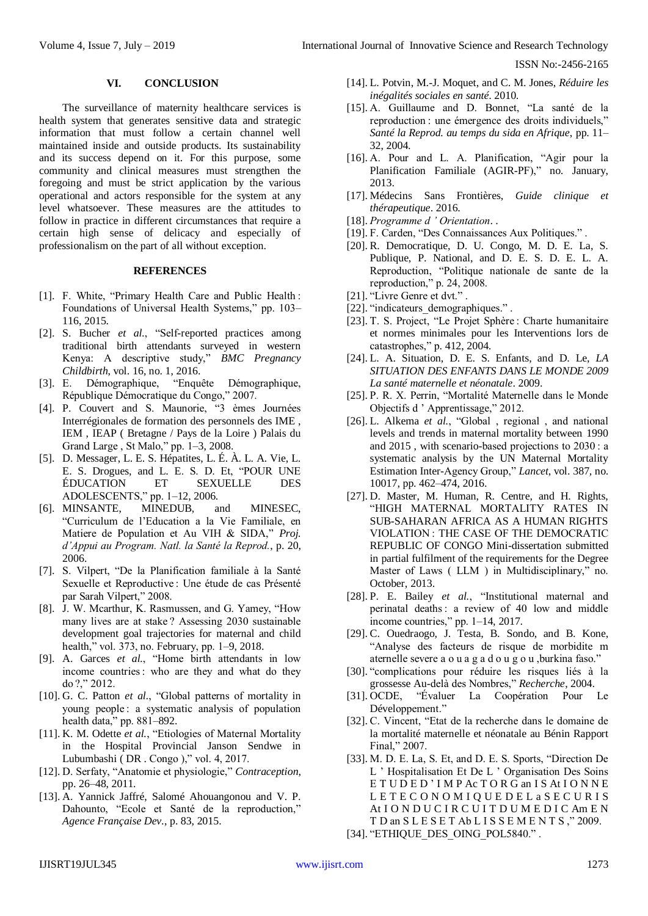#### **VI. CONCLUSION**

The surveillance of maternity healthcare services is health system that generates sensitive data and strategic information that must follow a certain channel well maintained inside and outside products. Its sustainability and its success depend on it. For this purpose, some community and clinical measures must strengthen the foregoing and must be strict application by the various operational and actors responsible for the system at any level whatsoever. These measures are the attitudes to follow in practice in different circumstances that require a certain high sense of delicacy and especially of professionalism on the part of all without exception.

# **REFERENCES**

- [1]. F. White, "Primary Health Care and Public Health : Foundations of Universal Health Systems," pp. 103– 116, 2015.
- [2]. S. Bucher *et al.*, "Self-reported practices among traditional birth attendants surveyed in western Kenya: A descriptive study," *BMC Pregnancy Childbirth*, vol. 16, no. 1, 2016.
- [3]. E. Démographique, "Enquête Démographique, République Démocratique du Congo," 2007.
- [4]. P. Couvert and S. Maunorie, "3 èmes Journées Interrégionales de formation des personnels des IME , IEM , IEAP ( Bretagne / Pays de la Loire ) Palais du Grand Large , St Malo," pp. 1–3, 2008.
- [5]. D. Messager, L. E. S. Hépatites, L. É. À. L. A. Vie, L. E. S. Drogues, and L. E. S. D. Et, "POUR UNE ÉDUCATION ET SEXUELLE DES ADOLESCENTS," pp. 1–12, 2006.
- [6]. MINSANTE, MINEDUB, and MINESEC, "Curriculum de l'Education a la Vie Familiale, en Matiere de Population et Au VIH & SIDA," *Proj. d'Appui au Program. Natl. la Santé la Reprod.*, p. 20, 2006.
- [7]. S. Vilpert, "De la Planification familiale à la Santé Sexuelle et Reproductive : Une étude de cas Présenté par Sarah Vilpert," 2008.
- [8]. J. W. Mcarthur, K. Rasmussen, and G. Yamey, "How many lives are at stake ? Assessing 2030 sustainable development goal trajectories for maternal and child health," vol. 373, no. February, pp. 1–9, 2018.
- [9]. A. Garces *et al.*, "Home birth attendants in low income countries : who are they and what do they do ?," 2012.
- [10]. G. C. Patton *et al.*, "Global patterns of mortality in young people : a systematic analysis of population health data," pp. 881–892.
- [11]. K. M. Odette *et al.*, "Etiologies of Maternal Mortality in the Hospital Provincial Janson Sendwe in Lubumbashi ( DR . Congo )," vol. 4, 2017.
- [12]. D. Serfaty, "Anatomie et physiologie," *Contraception*, pp. 26–48, 2011.
- [13]. A. Yannick Jaffré, Salomé Ahouangonou and V. P. Dahounto, "Ecole et Santé de la reproduction," *Agence Française Dev.*, p. 83, 2015.
- [14]. L. Potvin, M.-J. Moquet, and C. M. Jones, *Réduire les inégalités sociales en santé*. 2010.
- [15]. A. Guillaume and D. Bonnet, "La santé de la reproduction : une émergence des droits individuels," *Santé la Reprod. au temps du sida en Afrique*, pp. 11– 32, 2004.
- [16]. A. Pour and L. A. Planification, "Agir pour la Planification Familiale (AGIR-PF)," no. January, 2013.
- [17]. Médecins Sans Frontières, *Guide clinique et thérapeutique*. 2016.
- [18]. *Programme d ' Orientation*. .
- [19]. F. Carden, "Des Connaissances Aux Politiques." .
- [20]. R. Democratique, D. U. Congo, M. D. E. La, S. Publique, P. National, and D. E. S. D. E. L. A. Reproduction, "Politique nationale de sante de la reproduction," p. 24, 2008.
- [21]. "Livre Genre et dvt.".
- [22]. "indicateurs\_demographiques." .
- [23]. T. S. Project, "Le Projet Sphère : Charte humanitaire et normes minimales pour les Interventions lors de catastrophes," p. 412, 2004.
- [24]. L. A. Situation, D. E. S. Enfants, and D. Le, *LA SITUATION DES ENFANTS DANS LE MONDE 2009 La santé maternelle et néonatale*. 2009.
- [25]. P. R. X. Perrin, "Mortalité Maternelle dans le Monde Objectifs d ' Apprentissage," 2012.
- [26]. L. Alkema *et al.*, "Global , regional , and national levels and trends in maternal mortality between 1990 and 2015 , with scenario-based projections to 2030 : a systematic analysis by the UN Maternal Mortality Estimation Inter-Agency Group," *Lancet*, vol. 387, no. 10017, pp. 462–474, 2016.
- [27]. D. Master, M. Human, R. Centre, and H. Rights, "HIGH MATERNAL MORTALITY RATES IN SUB-SAHARAN AFRICA AS A HUMAN RIGHTS VIOLATION : THE CASE OF THE DEMOCRATIC REPUBLIC OF CONGO Mini-dissertation submitted in partial fulfilment of the requirements for the Degree Master of Laws ( LLM ) in Multidisciplinary," no. October, 2013.
- [28]. P. E. Bailey *et al.*, "Institutional maternal and perinatal deaths : a review of 40 low and middle income countries," pp. 1–14, 2017.
- [29]. C. Ouedraogo, J. Testa, B. Sondo, and B. Kone, "Analyse des facteurs de risque de morbidite m aternelle severe a o u a g a d o u g o u ,burkina faso."
- [30]. "complications pour réduire les risques liés à la grossesse Au-delà des Nombres," *Recherche*, 2004.
- [31]. OCDE, "Évaluer La Coopération Pour Le Développement."
- [32]. C. Vincent, "Etat de la recherche dans le domaine de la mortalité maternelle et néonatale au Bénin Rapport Final," 2007.
- [33]. M. D. E. La, S. Et, and D. E. S. Sports, "Direction De L ' Hospitalisation Et De L ' Organisation Des Soins E T U D E D ' I M P Ac T O R G an I S At I O N N E L E T E C O N O M I Q U E D E L a S E C U R I S At I O N D U C I R C U I T D U M E D I C Am E N T D an S L E S E T Ab L I S S E M E N T S ," 2009.
- [34]. "ETHIQUE DES OING POL5840." .